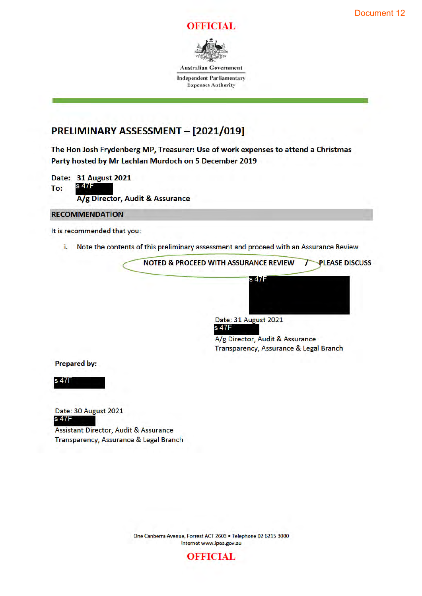



**Australian Government** 

**Independent Parliamentary Expenses Authority** 

# PRELIMINARY ASSESSMENT - [2021/019]

The Hon Josh Frydenberg MP, Treasurer: Use of work expenses to attend a Christmas Party hosted by Mr Lachlan Murdoch on 5 December 2019

Date: 31 August 2021 s 47F To: A/g Director, Audit & Assurance

**RECOMMENDATION** 

It is recommended that you:

i. Note the contents of this preliminary assessment and proceed with an Assurance Review



Date: 31 August 2021



A/g Director, Audit & Assurance Transparency, Assurance & Legal Branch

**Prepared by:** 

s 47F

Date: 30 August 2021 s 47F

Assistant Director, Audit & Assurance Transparency, Assurance & Legal Branch

> One Canberra Avenue, Forrest ACT 2603 . Telephone 02 6215 3000 Internet www.ipea.gov.au